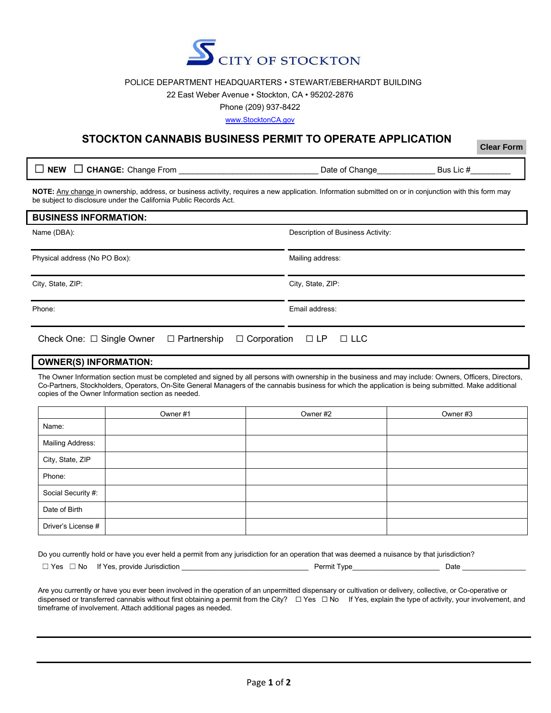

### POLICE DEPARTMENT HEADQUARTERS • STEWART/EBERHARDT BUILDING

#### 22 East Weber Avenue • Stockton, CA • 95202-2876

Phone (209) 937-8422

www.StocktonCA.gov

# **STOCKTON CANNABIS BUSINESS PERMIT TO OPERATE APPLICATION**

**Clear Form**

□ **NEW** □ CHANGE: Change From  $\Box$  **Date of Change** Bus Lic #

**NOTE:** Any change in ownership, address, or business activity, requires a new application. Information submitted on or in conjunction with this form may be subject to disclosure under the California Public Records Act.

| <b>BUSINESS INFORMATION:</b>                      |                                         |
|---------------------------------------------------|-----------------------------------------|
| Name (DBA):                                       | Description of Business Activity:       |
| Physical address (No PO Box):                     | Mailing address:                        |
| City, State, ZIP:                                 | City, State, ZIP:                       |
| Phone:                                            | Email address:                          |
| Check One: $\Box$ Single Owner $\Box$ Partnership | $\Box$ Corporation $\Box$ LP $\Box$ LLC |

### **OWNER(S) INFORMATION:**

The Owner Information section must be completed and signed by all persons with ownership in the business and may include: Owners, Officers, Directors, Co-Partners, Stockholders, Operators, On-Site General Managers of the cannabis business for which the application is being submitted. Make additional copies of the Owner Information section as needed.

|                         | Owner #1 | Owner #2 | Owner #3 |
|-------------------------|----------|----------|----------|
| Name:                   |          |          |          |
| <b>Mailing Address:</b> |          |          |          |
| City, State, ZIP        |          |          |          |
| Phone:                  |          |          |          |
| Social Security #:      |          |          |          |
| Date of Birth           |          |          |          |
| Driver's License #      |          |          |          |

Do you currently hold or have you ever held a permit from any jurisdiction for an operation that was deemed a nuisance by that jurisdiction?

| Yes<br>No | provide<br>. Jurisdiction<br>Yes |  | Permit<br>I vpe |  | ⊃ate |
|-----------|----------------------------------|--|-----------------|--|------|
|-----------|----------------------------------|--|-----------------|--|------|

Are you currently or have you ever been involved in the operation of an unpermitted dispensary or cultivation or delivery, collective, or Co-operative or dispensed or transferred cannabis without first obtaining a permit from the City? □ Yes □ No If Yes, explain the type of activity, your involvement, and timeframe of involvement. Attach additional pages as needed.